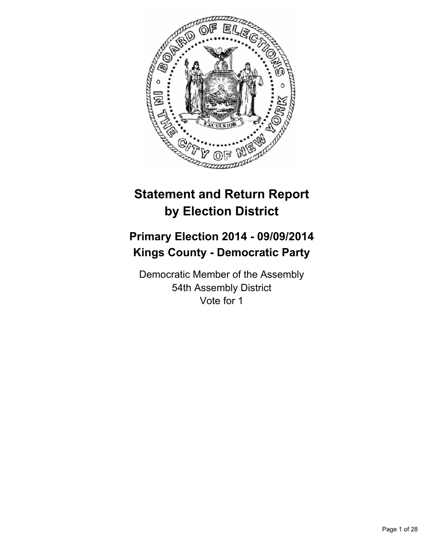

# **Statement and Return Report by Election District**

# **Primary Election 2014 - 09/09/2014 Kings County - Democratic Party**

Democratic Member of the Assembly 54th Assembly District Vote for 1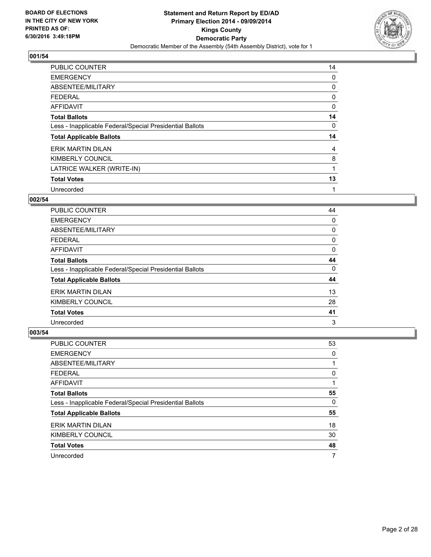

| <b>PUBLIC COUNTER</b>                                    | 14 |
|----------------------------------------------------------|----|
| <b>EMERGENCY</b>                                         | 0  |
| ABSENTEE/MILITARY                                        | 0  |
| <b>FEDERAL</b>                                           | 0  |
| <b>AFFIDAVIT</b>                                         | 0  |
| <b>Total Ballots</b>                                     | 14 |
| Less - Inapplicable Federal/Special Presidential Ballots | 0  |
| <b>Total Applicable Ballots</b>                          | 14 |
| ERIK MARTIN DILAN                                        | 4  |
| KIMBERLY COUNCIL                                         | 8  |
| LATRICE WALKER (WRITE-IN)                                | 1  |
| <b>Total Votes</b>                                       | 13 |
| Unrecorded                                               | 1  |

# **002/54**

| <b>PUBLIC COUNTER</b>                                    | 44 |
|----------------------------------------------------------|----|
| <b>EMERGENCY</b>                                         | 0  |
| ABSENTEE/MILITARY                                        | 0  |
| <b>FEDERAL</b>                                           | 0  |
| <b>AFFIDAVIT</b>                                         | 0  |
| <b>Total Ballots</b>                                     | 44 |
| Less - Inapplicable Federal/Special Presidential Ballots | 0  |
| <b>Total Applicable Ballots</b>                          | 44 |
| ERIK MARTIN DILAN                                        | 13 |
| KIMBERLY COUNCIL                                         | 28 |
| <b>Total Votes</b>                                       | 41 |
| Unrecorded                                               | 3  |

| PUBLIC COUNTER                                           | 53 |
|----------------------------------------------------------|----|
| <b>EMERGENCY</b>                                         | 0  |
| ABSENTEE/MILITARY                                        |    |
| <b>FEDERAL</b>                                           | 0  |
| <b>AFFIDAVIT</b>                                         |    |
| <b>Total Ballots</b>                                     | 55 |
| Less - Inapplicable Federal/Special Presidential Ballots | 0  |
| <b>Total Applicable Ballots</b>                          | 55 |
| <b>ERIK MARTIN DILAN</b>                                 | 18 |
| KIMBERLY COUNCIL                                         | 30 |
| <b>Total Votes</b>                                       | 48 |
| Unrecorded                                               | 7  |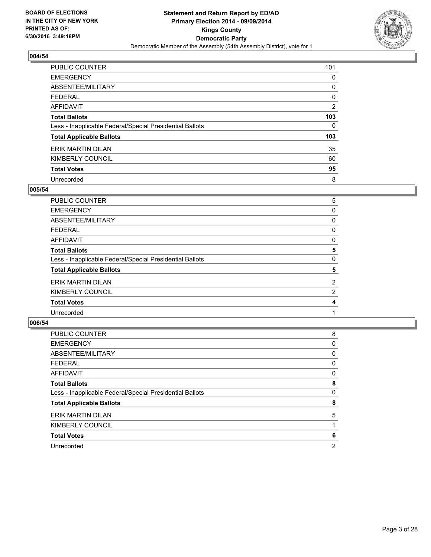

| <b>PUBLIC COUNTER</b>                                    | 101 |
|----------------------------------------------------------|-----|
| <b>EMERGENCY</b>                                         | 0   |
| ABSENTEE/MILITARY                                        | 0   |
| <b>FEDERAL</b>                                           | 0   |
| <b>AFFIDAVIT</b>                                         | 2   |
| <b>Total Ballots</b>                                     | 103 |
| Less - Inapplicable Federal/Special Presidential Ballots | 0   |
| <b>Total Applicable Ballots</b>                          | 103 |
| ERIK MARTIN DILAN                                        | 35  |
| KIMBERLY COUNCIL                                         | 60  |
| <b>Total Votes</b>                                       | 95  |
| Unrecorded                                               | 8   |

#### **005/54**

| <b>PUBLIC COUNTER</b>                                    | 5              |
|----------------------------------------------------------|----------------|
| <b>EMERGENCY</b>                                         | 0              |
| ABSENTEE/MILITARY                                        | 0              |
| <b>FEDERAL</b>                                           | 0              |
| <b>AFFIDAVIT</b>                                         | 0              |
| <b>Total Ballots</b>                                     | 5              |
| Less - Inapplicable Federal/Special Presidential Ballots | 0              |
| <b>Total Applicable Ballots</b>                          | 5              |
| ERIK MARTIN DILAN                                        | $\overline{2}$ |
| KIMBERLY COUNCIL                                         | 2              |
| <b>Total Votes</b>                                       | 4              |
| Unrecorded                                               |                |
|                                                          |                |

| PUBLIC COUNTER                                           | 8 |
|----------------------------------------------------------|---|
| <b>EMERGENCY</b>                                         | 0 |
| ABSENTEE/MILITARY                                        | 0 |
| <b>FEDERAL</b>                                           | 0 |
| <b>AFFIDAVIT</b>                                         | 0 |
| <b>Total Ballots</b>                                     | 8 |
| Less - Inapplicable Federal/Special Presidential Ballots | 0 |
| <b>Total Applicable Ballots</b>                          | 8 |
| ERIK MARTIN DILAN                                        | 5 |
| KIMBERLY COUNCIL                                         |   |
| <b>Total Votes</b>                                       | 6 |
| Unrecorded                                               | 2 |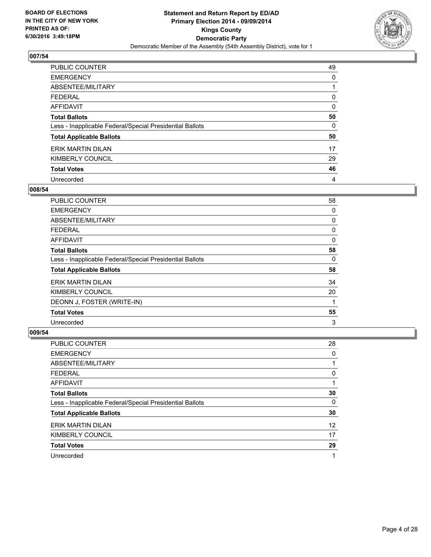

| <b>PUBLIC COUNTER</b>                                    | 49 |
|----------------------------------------------------------|----|
| <b>EMERGENCY</b>                                         | 0  |
| ABSENTEE/MILITARY                                        |    |
| <b>FEDERAL</b>                                           | 0  |
| AFFIDAVIT                                                | 0  |
| <b>Total Ballots</b>                                     | 50 |
| Less - Inapplicable Federal/Special Presidential Ballots | 0  |
| <b>Total Applicable Ballots</b>                          | 50 |
| ERIK MARTIN DILAN                                        | 17 |
| KIMBERLY COUNCIL                                         | 29 |
| <b>Total Votes</b>                                       | 46 |
| Unrecorded                                               | 4  |

#### **008/54**

| <b>PUBLIC COUNTER</b>                                    | 58 |
|----------------------------------------------------------|----|
| <b>EMERGENCY</b>                                         | 0  |
| ABSENTEE/MILITARY                                        | 0  |
| <b>FEDERAL</b>                                           | 0  |
| AFFIDAVIT                                                | 0  |
| <b>Total Ballots</b>                                     | 58 |
| Less - Inapplicable Federal/Special Presidential Ballots | 0  |
| <b>Total Applicable Ballots</b>                          | 58 |
| <b>ERIK MARTIN DILAN</b>                                 | 34 |
| KIMBERLY COUNCIL                                         | 20 |
| DEONN J, FOSTER (WRITE-IN)                               |    |
| <b>Total Votes</b>                                       | 55 |
| Unrecorded                                               | 3  |

| <b>PUBLIC COUNTER</b>                                    | 28 |
|----------------------------------------------------------|----|
| <b>EMERGENCY</b>                                         | 0  |
| ABSENTEE/MILITARY                                        |    |
| <b>FEDERAL</b>                                           | 0  |
| AFFIDAVIT                                                |    |
| <b>Total Ballots</b>                                     | 30 |
| Less - Inapplicable Federal/Special Presidential Ballots | 0  |
| <b>Total Applicable Ballots</b>                          | 30 |
| ERIK MARTIN DILAN                                        | 12 |
| KIMBERLY COUNCIL                                         | 17 |
| <b>Total Votes</b>                                       | 29 |
| Unrecorded                                               | 1  |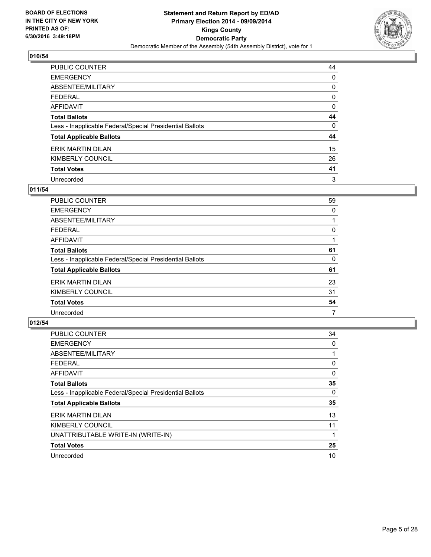

| <b>PUBLIC COUNTER</b>                                    | 44 |
|----------------------------------------------------------|----|
| <b>EMERGENCY</b>                                         | 0  |
| ABSENTEE/MILITARY                                        | 0  |
| <b>FEDERAL</b>                                           | 0  |
| <b>AFFIDAVIT</b>                                         | 0  |
| <b>Total Ballots</b>                                     | 44 |
| Less - Inapplicable Federal/Special Presidential Ballots | 0  |
| <b>Total Applicable Ballots</b>                          | 44 |
| ERIK MARTIN DILAN                                        | 15 |
| KIMBERLY COUNCIL                                         | 26 |
| <b>Total Votes</b>                                       | 41 |
| Unrecorded                                               | 3  |

#### **011/54**

| <b>PUBLIC COUNTER</b>                                    | 59 |
|----------------------------------------------------------|----|
| <b>EMERGENCY</b>                                         | 0  |
| ABSENTEE/MILITARY                                        |    |
| <b>FEDERAL</b>                                           | 0  |
| <b>AFFIDAVIT</b>                                         |    |
| <b>Total Ballots</b>                                     | 61 |
| Less - Inapplicable Federal/Special Presidential Ballots | 0  |
| <b>Total Applicable Ballots</b>                          | 61 |
| <b>ERIK MARTIN DILAN</b>                                 | 23 |
| KIMBERLY COUNCIL                                         | 31 |
| <b>Total Votes</b>                                       | 54 |
| Unrecorded                                               | 7  |

| <b>PUBLIC COUNTER</b>                                    | 34 |
|----------------------------------------------------------|----|
| <b>EMERGENCY</b>                                         | 0  |
| ABSENTEE/MILITARY                                        |    |
| <b>FEDERAL</b>                                           | 0  |
| <b>AFFIDAVIT</b>                                         | 0  |
| <b>Total Ballots</b>                                     | 35 |
| Less - Inapplicable Federal/Special Presidential Ballots | 0  |
| <b>Total Applicable Ballots</b>                          | 35 |
| <b>ERIK MARTIN DILAN</b>                                 | 13 |
| KIMBERLY COUNCIL                                         | 11 |
| UNATTRIBUTABLE WRITE-IN (WRITE-IN)                       |    |
| <b>Total Votes</b>                                       | 25 |
| Unrecorded                                               | 10 |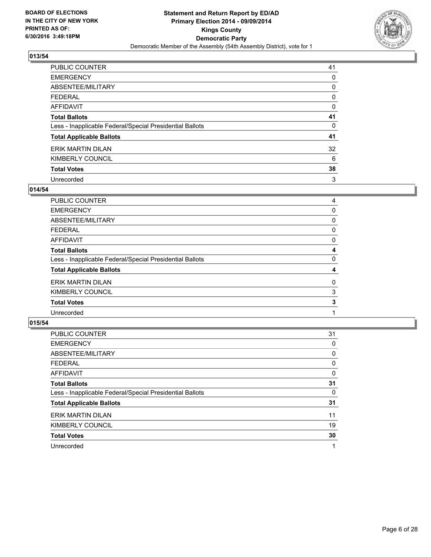

| <b>PUBLIC COUNTER</b>                                    | 41 |
|----------------------------------------------------------|----|
| <b>EMERGENCY</b>                                         | 0  |
| ABSENTEE/MILITARY                                        | 0  |
| <b>FEDERAL</b>                                           | 0  |
| <b>AFFIDAVIT</b>                                         | 0  |
| <b>Total Ballots</b>                                     | 41 |
| Less - Inapplicable Federal/Special Presidential Ballots | 0  |
| <b>Total Applicable Ballots</b>                          | 41 |
| ERIK MARTIN DILAN                                        | 32 |
| KIMBERLY COUNCIL                                         | 6  |
| <b>Total Votes</b>                                       | 38 |
| Unrecorded                                               | 3  |

#### **014/54**

| <b>PUBLIC COUNTER</b>                                    | 4 |
|----------------------------------------------------------|---|
| <b>EMERGENCY</b>                                         | 0 |
| ABSENTEE/MILITARY                                        | 0 |
| <b>FEDERAL</b>                                           | 0 |
| <b>AFFIDAVIT</b>                                         | 0 |
| <b>Total Ballots</b>                                     | 4 |
| Less - Inapplicable Federal/Special Presidential Ballots | 0 |
| <b>Total Applicable Ballots</b>                          | 4 |
| <b>ERIK MARTIN DILAN</b>                                 | 0 |
| KIMBERLY COUNCIL                                         | 3 |
| <b>Total Votes</b>                                       | 3 |
| Unrecorded                                               |   |
|                                                          |   |

| <b>PUBLIC COUNTER</b>                                    | 31 |
|----------------------------------------------------------|----|
| <b>EMERGENCY</b>                                         | 0  |
| ABSENTEE/MILITARY                                        | 0  |
| <b>FEDERAL</b>                                           | 0  |
| <b>AFFIDAVIT</b>                                         | 0  |
| <b>Total Ballots</b>                                     | 31 |
| Less - Inapplicable Federal/Special Presidential Ballots | 0  |
| <b>Total Applicable Ballots</b>                          | 31 |
| ERIK MARTIN DILAN                                        | 11 |
| KIMBERLY COUNCIL                                         | 19 |
| <b>Total Votes</b>                                       | 30 |
| Unrecorded                                               |    |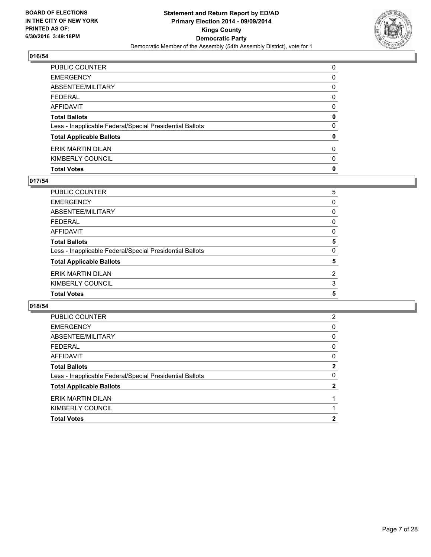

| PUBLIC COUNTER                                           | 0            |
|----------------------------------------------------------|--------------|
| EMERGENCY                                                | 0            |
| ABSENTEE/MILITARY                                        | 0            |
| FEDERAL                                                  | $\Omega$     |
| AFFIDAVIT                                                | 0            |
| <b>Total Ballots</b>                                     | 0            |
| Less - Inapplicable Federal/Special Presidential Ballots | $\mathbf{0}$ |
| <b>Total Applicable Ballots</b>                          | 0            |
| ERIK MARTIN DILAN                                        | $\mathbf{0}$ |
| KIMBERLY COUNCIL                                         | 0            |
| <b>Total Votes</b>                                       | 0            |

## **017/54**

| PUBLIC COUNTER                                           | 5              |
|----------------------------------------------------------|----------------|
| EMERGENCY                                                | 0              |
| ABSENTEE/MILITARY                                        | 0              |
| FEDERAL                                                  | 0              |
| AFFIDAVIT                                                | 0              |
| <b>Total Ballots</b>                                     | 5              |
| Less - Inapplicable Federal/Special Presidential Ballots | 0              |
| <b>Total Applicable Ballots</b>                          | 5              |
| ERIK MARTIN DILAN                                        | $\overline{2}$ |
| KIMBERLY COUNCIL                                         | 3              |
| <b>Total Votes</b>                                       | 5              |
|                                                          |                |

| PUBLIC COUNTER                                           | 2            |
|----------------------------------------------------------|--------------|
| <b>EMERGENCY</b>                                         | 0            |
| ABSENTEE/MILITARY                                        | 0            |
| <b>FEDERAL</b>                                           | 0            |
| AFFIDAVIT                                                | 0            |
| <b>Total Ballots</b>                                     | $\mathbf{2}$ |
| Less - Inapplicable Federal/Special Presidential Ballots | 0            |
| <b>Total Applicable Ballots</b>                          | 2            |
| <b>ERIK MARTIN DILAN</b>                                 |              |
| KIMBERLY COUNCIL                                         |              |
| <b>Total Votes</b>                                       | 2            |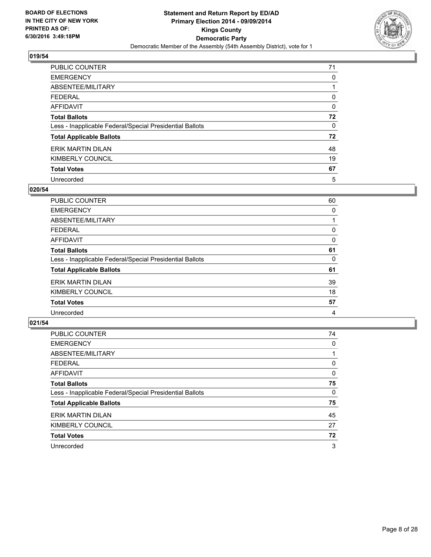

| <b>PUBLIC COUNTER</b>                                    | 71 |
|----------------------------------------------------------|----|
| <b>EMERGENCY</b>                                         | 0  |
| ABSENTEE/MILITARY                                        |    |
| <b>FEDERAL</b>                                           | 0  |
| <b>AFFIDAVIT</b>                                         | 0  |
| <b>Total Ballots</b>                                     | 72 |
| Less - Inapplicable Federal/Special Presidential Ballots | 0  |
| <b>Total Applicable Ballots</b>                          | 72 |
| <b>ERIK MARTIN DILAN</b>                                 | 48 |
| KIMBERLY COUNCIL                                         | 19 |
| <b>Total Votes</b>                                       | 67 |
| Unrecorded                                               | 5  |

#### **020/54**

| PUBLIC COUNTER                                           | 60 |
|----------------------------------------------------------|----|
| <b>EMERGENCY</b>                                         | 0  |
| ABSENTEE/MILITARY                                        |    |
| <b>FEDERAL</b>                                           | 0  |
| <b>AFFIDAVIT</b>                                         | 0  |
| <b>Total Ballots</b>                                     | 61 |
| Less - Inapplicable Federal/Special Presidential Ballots | 0  |
| <b>Total Applicable Ballots</b>                          | 61 |
| ERIK MARTIN DILAN                                        | 39 |
| KIMBERLY COUNCIL                                         | 18 |
| <b>Total Votes</b>                                       | 57 |
| Unrecorded                                               | 4  |
|                                                          |    |

| PUBLIC COUNTER                                           | 74 |
|----------------------------------------------------------|----|
| <b>EMERGENCY</b>                                         | 0  |
| ABSENTEE/MILITARY                                        |    |
| <b>FEDERAL</b>                                           | 0  |
| <b>AFFIDAVIT</b>                                         | 0  |
| <b>Total Ballots</b>                                     | 75 |
| Less - Inapplicable Federal/Special Presidential Ballots | 0  |
| <b>Total Applicable Ballots</b>                          | 75 |
| ERIK MARTIN DILAN                                        | 45 |
| KIMBERLY COUNCIL                                         | 27 |
| <b>Total Votes</b>                                       | 72 |
| Unrecorded                                               | 3  |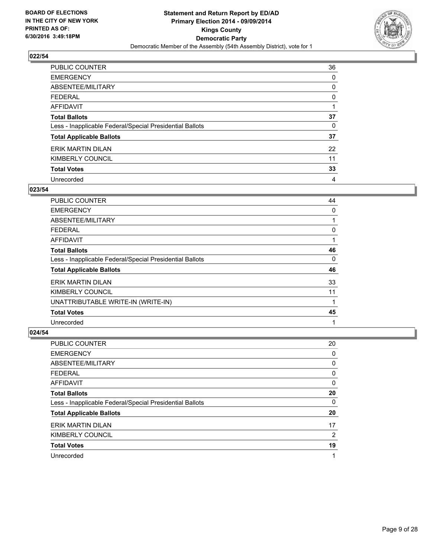

| <b>PUBLIC COUNTER</b>                                    | 36 |
|----------------------------------------------------------|----|
| <b>EMERGENCY</b>                                         | 0  |
| ABSENTEE/MILITARY                                        | 0  |
| <b>FEDERAL</b>                                           | 0  |
| <b>AFFIDAVIT</b>                                         |    |
| <b>Total Ballots</b>                                     | 37 |
| Less - Inapplicable Federal/Special Presidential Ballots | 0  |
| <b>Total Applicable Ballots</b>                          | 37 |
| <b>ERIK MARTIN DILAN</b>                                 | 22 |
| KIMBERLY COUNCIL                                         | 11 |
| <b>Total Votes</b>                                       | 33 |
| Unrecorded                                               | 4  |

#### **023/54**

| <b>PUBLIC COUNTER</b>                                    | 44 |
|----------------------------------------------------------|----|
| <b>EMERGENCY</b>                                         | 0  |
| ABSENTEE/MILITARY                                        |    |
| <b>FEDERAL</b>                                           | 0  |
| AFFIDAVIT                                                |    |
| <b>Total Ballots</b>                                     | 46 |
| Less - Inapplicable Federal/Special Presidential Ballots | 0  |
| <b>Total Applicable Ballots</b>                          | 46 |
| <b>ERIK MARTIN DILAN</b>                                 | 33 |
| KIMBERLY COUNCIL                                         | 11 |
| UNATTRIBUTABLE WRITE-IN (WRITE-IN)                       |    |
| <b>Total Votes</b>                                       | 45 |
| Unrecorded                                               | 1  |

| <b>PUBLIC COUNTER</b>                                    | 20 |
|----------------------------------------------------------|----|
| <b>EMERGENCY</b>                                         | 0  |
| ABSENTEE/MILITARY                                        | 0  |
| FEDERAL                                                  | 0  |
| AFFIDAVIT                                                | 0  |
| <b>Total Ballots</b>                                     | 20 |
| Less - Inapplicable Federal/Special Presidential Ballots | 0  |
| <b>Total Applicable Ballots</b>                          | 20 |
| ERIK MARTIN DILAN                                        | 17 |
| KIMBERLY COUNCIL                                         | 2  |
| <b>Total Votes</b>                                       | 19 |
| Unrecorded                                               | 1  |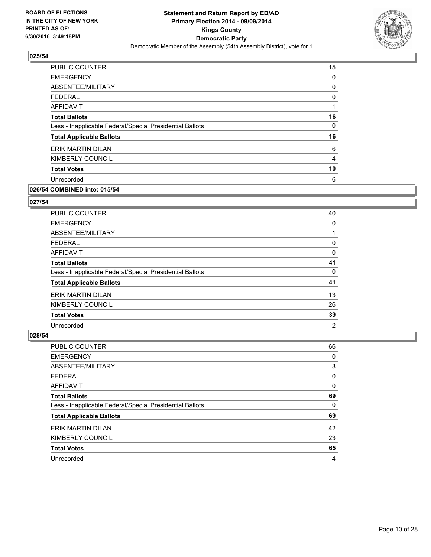

| <b>PUBLIC COUNTER</b>                                    | 15 |
|----------------------------------------------------------|----|
| <b>EMERGENCY</b>                                         | 0  |
| ABSENTEE/MILITARY                                        | 0  |
| <b>FEDERAL</b>                                           | 0  |
| AFFIDAVIT                                                | 1  |
| <b>Total Ballots</b>                                     | 16 |
| Less - Inapplicable Federal/Special Presidential Ballots | 0  |
| <b>Total Applicable Ballots</b>                          | 16 |
| ERIK MARTIN DILAN                                        | 6  |
| KIMBERLY COUNCIL                                         | 4  |
| <b>Total Votes</b>                                       | 10 |
| Unrecorded                                               | 6  |
|                                                          |    |

# **026/54 COMBINED into: 015/54**

# **027/54**

| <b>PUBLIC COUNTER</b>                                    | 40             |
|----------------------------------------------------------|----------------|
| <b>EMERGENCY</b>                                         | 0              |
| ABSENTEE/MILITARY                                        |                |
| <b>FEDERAL</b>                                           | 0              |
| AFFIDAVIT                                                | 0              |
| <b>Total Ballots</b>                                     | 41             |
| Less - Inapplicable Federal/Special Presidential Ballots | 0              |
| <b>Total Applicable Ballots</b>                          | 41             |
| ERIK MARTIN DILAN                                        | 13             |
| KIMBERLY COUNCIL                                         | 26             |
| <b>Total Votes</b>                                       | 39             |
| Unrecorded                                               | $\overline{2}$ |

| PUBLIC COUNTER                                           | 66 |
|----------------------------------------------------------|----|
| <b>EMERGENCY</b>                                         | 0  |
| <b>ABSENTEE/MILITARY</b>                                 | 3  |
| <b>FEDERAL</b>                                           | 0  |
| <b>AFFIDAVIT</b>                                         | 0  |
| <b>Total Ballots</b>                                     | 69 |
| Less - Inapplicable Federal/Special Presidential Ballots | 0  |
| <b>Total Applicable Ballots</b>                          | 69 |
| ERIK MARTIN DILAN                                        | 42 |
| <b>KIMBERLY COUNCIL</b>                                  | 23 |
| <b>Total Votes</b>                                       | 65 |
| Unrecorded                                               | 4  |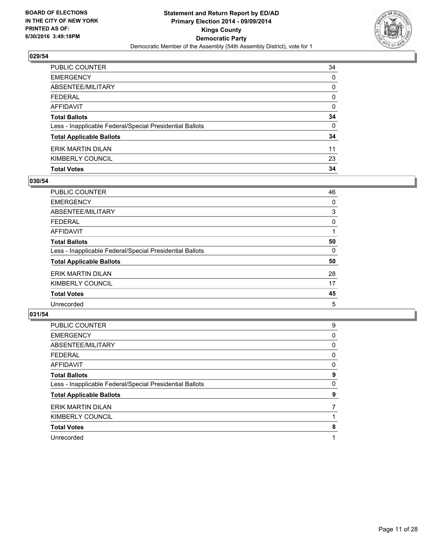

| <b>EMERGENCY</b>                                         | 0            |
|----------------------------------------------------------|--------------|
| ABSENTEE/MILITARY                                        | 0            |
| <b>FEDERAL</b>                                           | $\mathbf{0}$ |
| AFFIDAVIT                                                | 0            |
| <b>Total Ballots</b>                                     | 34           |
| Less - Inapplicable Federal/Special Presidential Ballots | $\mathbf{0}$ |
| <b>Total Applicable Ballots</b>                          | 34           |
| ERIK MARTIN DILAN                                        | 11           |
| KIMBERLY COUNCIL                                         | 23           |
| <b>Total Votes</b>                                       | 34           |

## **030/54**

| PUBLIC COUNTER                                           | 46 |
|----------------------------------------------------------|----|
| <b>EMERGENCY</b>                                         | 0  |
| ABSENTEE/MILITARY                                        | 3  |
| <b>FEDERAL</b>                                           | 0  |
| AFFIDAVIT                                                |    |
| <b>Total Ballots</b>                                     | 50 |
| Less - Inapplicable Federal/Special Presidential Ballots | 0  |
| <b>Total Applicable Ballots</b>                          | 50 |
| ERIK MARTIN DILAN                                        | 28 |
| KIMBERLY COUNCIL                                         | 17 |
| <b>Total Votes</b>                                       | 45 |
| Unrecorded                                               | 5  |
|                                                          |    |

| <b>PUBLIC COUNTER</b>                                    | 9 |
|----------------------------------------------------------|---|
| <b>EMERGENCY</b>                                         | 0 |
| ABSENTEE/MILITARY                                        | 0 |
| <b>FEDERAL</b>                                           | 0 |
| AFFIDAVIT                                                | 0 |
| <b>Total Ballots</b>                                     | 9 |
| Less - Inapplicable Federal/Special Presidential Ballots | 0 |
| <b>Total Applicable Ballots</b>                          | 9 |
| ERIK MARTIN DILAN                                        |   |
| KIMBERLY COUNCIL                                         |   |
| <b>Total Votes</b>                                       | 8 |
| Unrecorded                                               |   |
|                                                          |   |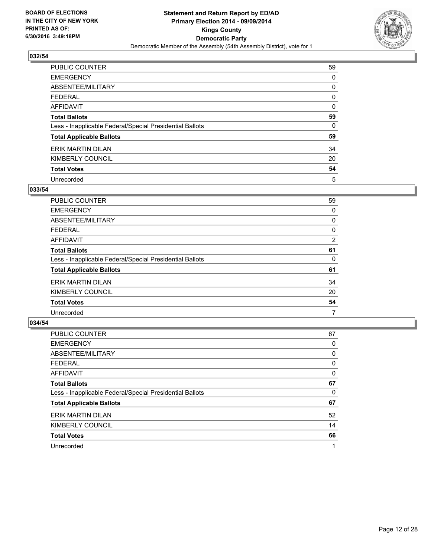

| <b>PUBLIC COUNTER</b>                                    | 59 |
|----------------------------------------------------------|----|
| <b>EMERGENCY</b>                                         | 0  |
| ABSENTEE/MILITARY                                        | 0  |
| <b>FEDERAL</b>                                           | 0  |
| <b>AFFIDAVIT</b>                                         | 0  |
| <b>Total Ballots</b>                                     | 59 |
| Less - Inapplicable Federal/Special Presidential Ballots | 0  |
| <b>Total Applicable Ballots</b>                          | 59 |
| ERIK MARTIN DILAN                                        | 34 |
| KIMBERLY COUNCIL                                         | 20 |
| <b>Total Votes</b>                                       | 54 |
| Unrecorded                                               | 5  |

#### **033/54**

| <b>PUBLIC COUNTER</b>                                    | 59 |
|----------------------------------------------------------|----|
| <b>EMERGENCY</b>                                         | 0  |
| ABSENTEE/MILITARY                                        | 0  |
| <b>FEDERAL</b>                                           | 0  |
| AFFIDAVIT                                                | 2  |
| <b>Total Ballots</b>                                     | 61 |
| Less - Inapplicable Federal/Special Presidential Ballots | 0  |
| <b>Total Applicable Ballots</b>                          | 61 |
| ERIK MARTIN DILAN                                        | 34 |
| KIMBERLY COUNCIL                                         | 20 |
| <b>Total Votes</b>                                       | 54 |
| Unrecorded                                               | 7  |

| <b>PUBLIC COUNTER</b>                                    | 67 |
|----------------------------------------------------------|----|
| <b>EMERGENCY</b>                                         | 0  |
| ABSENTEE/MILITARY                                        | 0  |
| <b>FEDERAL</b>                                           | 0  |
| <b>AFFIDAVIT</b>                                         | 0  |
| <b>Total Ballots</b>                                     | 67 |
| Less - Inapplicable Federal/Special Presidential Ballots | 0  |
| <b>Total Applicable Ballots</b>                          | 67 |
| ERIK MARTIN DILAN                                        | 52 |
| KIMBERLY COUNCIL                                         | 14 |
| <b>Total Votes</b>                                       | 66 |
| Unrecorded                                               |    |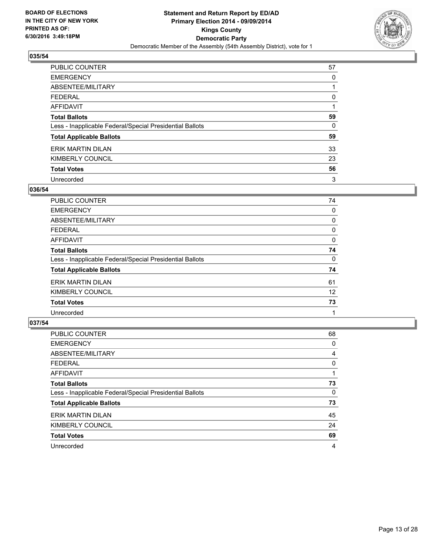

| <b>PUBLIC COUNTER</b>                                    | 57 |
|----------------------------------------------------------|----|
| <b>EMERGENCY</b>                                         | 0  |
| ABSENTEE/MILITARY                                        |    |
| <b>FEDERAL</b>                                           | 0  |
| <b>AFFIDAVIT</b>                                         |    |
| <b>Total Ballots</b>                                     | 59 |
| Less - Inapplicable Federal/Special Presidential Ballots | 0  |
| <b>Total Applicable Ballots</b>                          | 59 |
| ERIK MARTIN DILAN                                        | 33 |
| KIMBERLY COUNCIL                                         | 23 |
| <b>Total Votes</b>                                       | 56 |
| Unrecorded                                               | 3  |

#### **036/54**

| <b>PUBLIC COUNTER</b>                                    | 74 |
|----------------------------------------------------------|----|
| <b>EMERGENCY</b>                                         | 0  |
| ABSENTEE/MILITARY                                        | 0  |
| <b>FEDERAL</b>                                           | 0  |
| AFFIDAVIT                                                | 0  |
| <b>Total Ballots</b>                                     | 74 |
| Less - Inapplicable Federal/Special Presidential Ballots | 0  |
| <b>Total Applicable Ballots</b>                          | 74 |
| ERIK MARTIN DILAN                                        | 61 |
| KIMBERLY COUNCIL                                         | 12 |
| <b>Total Votes</b>                                       | 73 |
| Unrecorded                                               |    |
|                                                          |    |

| <b>PUBLIC COUNTER</b>                                    | 68 |
|----------------------------------------------------------|----|
| <b>EMERGENCY</b>                                         | 0  |
| ABSENTEE/MILITARY                                        | 4  |
| <b>FEDERAL</b>                                           | 0  |
| <b>AFFIDAVIT</b>                                         |    |
| <b>Total Ballots</b>                                     | 73 |
| Less - Inapplicable Federal/Special Presidential Ballots | 0  |
| <b>Total Applicable Ballots</b>                          | 73 |
| ERIK MARTIN DILAN                                        | 45 |
| KIMBERLY COUNCIL                                         | 24 |
| <b>Total Votes</b>                                       | 69 |
| Unrecorded                                               | 4  |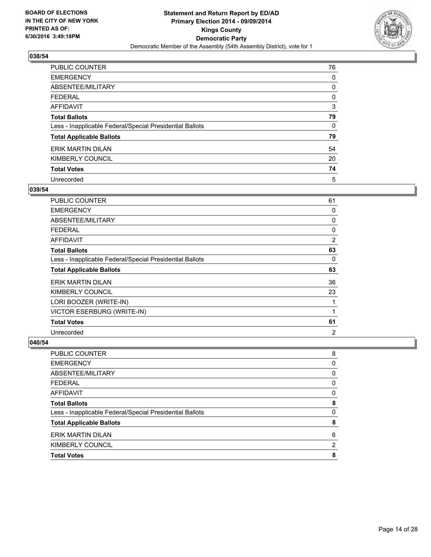

| <b>PUBLIC COUNTER</b>                                    | 76 |
|----------------------------------------------------------|----|
| <b>EMERGENCY</b>                                         | 0  |
| ABSENTEE/MILITARY                                        | 0  |
| <b>FEDERAL</b>                                           | 0  |
| <b>AFFIDAVIT</b>                                         | 3  |
| <b>Total Ballots</b>                                     | 79 |
| Less - Inapplicable Federal/Special Presidential Ballots | 0  |
| <b>Total Applicable Ballots</b>                          | 79 |
| ERIK MARTIN DILAN                                        | 54 |
| KIMBERLY COUNCIL                                         | 20 |
| <b>Total Votes</b>                                       | 74 |
| Unrecorded                                               | 5  |

#### **039/54**

| PUBLIC COUNTER                                           | 61             |
|----------------------------------------------------------|----------------|
| <b>EMERGENCY</b>                                         | 0              |
| ABSENTEE/MILITARY                                        | 0              |
| <b>FEDERAL</b>                                           | 0              |
| AFFIDAVIT                                                | $\overline{2}$ |
| <b>Total Ballots</b>                                     | 63             |
| Less - Inapplicable Federal/Special Presidential Ballots | 0              |
| <b>Total Applicable Ballots</b>                          | 63             |
| <b>ERIK MARTIN DILAN</b>                                 | 36             |
| KIMBERLY COUNCIL                                         | 23             |
| LORI BOOZER (WRITE-IN)                                   |                |
| <b>VICTOR ESERBURG (WRITE-IN)</b>                        | 1              |
| <b>Total Votes</b>                                       | 61             |
| Unrecorded                                               | $\overline{2}$ |

| <b>Total Votes</b>                                       | 8 |
|----------------------------------------------------------|---|
| KIMBERLY COUNCIL                                         | 2 |
| <b>ERIK MARTIN DILAN</b>                                 | 6 |
| <b>Total Applicable Ballots</b>                          | 8 |
| Less - Inapplicable Federal/Special Presidential Ballots | 0 |
| <b>Total Ballots</b>                                     | 8 |
| <b>AFFIDAVIT</b>                                         | 0 |
| <b>FEDERAL</b>                                           | 0 |
| ABSENTEE/MILITARY                                        | 0 |
| <b>EMERGENCY</b>                                         | 0 |
| PUBLIC COUNTER                                           | 8 |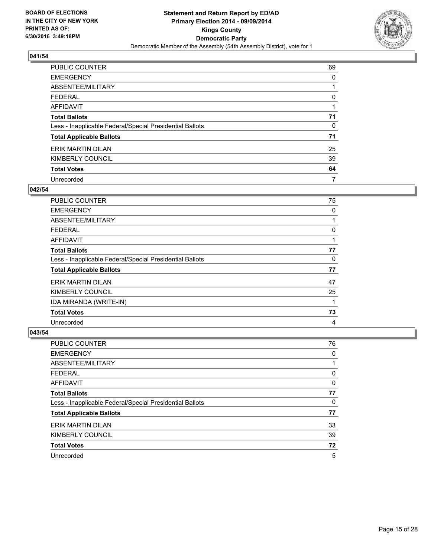

| <b>PUBLIC COUNTER</b>                                    | 69 |
|----------------------------------------------------------|----|
| <b>EMERGENCY</b>                                         | 0  |
| ABSENTEE/MILITARY                                        |    |
| <b>FEDERAL</b>                                           | 0  |
| <b>AFFIDAVIT</b>                                         |    |
| <b>Total Ballots</b>                                     | 71 |
| Less - Inapplicable Federal/Special Presidential Ballots | 0  |
| <b>Total Applicable Ballots</b>                          | 71 |
| ERIK MARTIN DILAN                                        | 25 |
| KIMBERLY COUNCIL                                         | 39 |
| <b>Total Votes</b>                                       | 64 |
| Unrecorded                                               | 7  |

#### **042/54**

| <b>PUBLIC COUNTER</b>                                    | 75 |
|----------------------------------------------------------|----|
| <b>EMERGENCY</b>                                         | 0  |
| ABSENTEE/MILITARY                                        |    |
| <b>FEDERAL</b>                                           | 0  |
| AFFIDAVIT                                                |    |
| <b>Total Ballots</b>                                     | 77 |
| Less - Inapplicable Federal/Special Presidential Ballots | 0  |
| <b>Total Applicable Ballots</b>                          | 77 |
| <b>ERIK MARTIN DILAN</b>                                 | 47 |
| KIMBERLY COUNCIL                                         | 25 |
| IDA MIRANDA (WRITE-IN)                                   |    |
| <b>Total Votes</b>                                       | 73 |
| Unrecorded                                               | 4  |

| <b>PUBLIC COUNTER</b>                                    | 76 |
|----------------------------------------------------------|----|
| <b>EMERGENCY</b>                                         | 0  |
| ABSENTEE/MILITARY                                        |    |
| <b>FEDERAL</b>                                           | 0  |
| AFFIDAVIT                                                | 0  |
| <b>Total Ballots</b>                                     | 77 |
| Less - Inapplicable Federal/Special Presidential Ballots | 0  |
| <b>Total Applicable Ballots</b>                          | 77 |
| ERIK MARTIN DILAN                                        | 33 |
| KIMBERLY COUNCIL                                         | 39 |
| <b>Total Votes</b>                                       | 72 |
| Unrecorded                                               | 5  |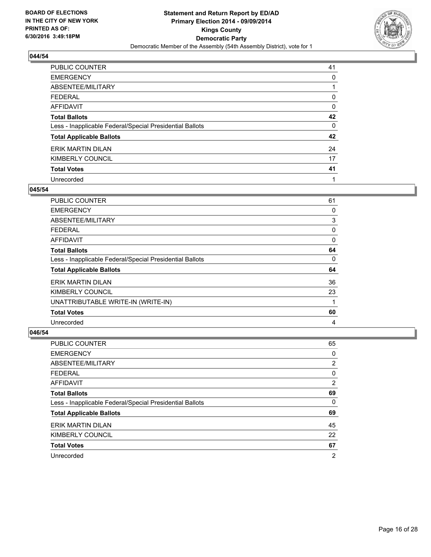

| <b>PUBLIC COUNTER</b>                                    | 41 |
|----------------------------------------------------------|----|
| <b>EMERGENCY</b>                                         | 0  |
| ABSENTEE/MILITARY                                        |    |
| <b>FEDERAL</b>                                           | 0  |
| <b>AFFIDAVIT</b>                                         | 0  |
| <b>Total Ballots</b>                                     | 42 |
| Less - Inapplicable Federal/Special Presidential Ballots | 0  |
| <b>Total Applicable Ballots</b>                          | 42 |
| ERIK MARTIN DILAN                                        | 24 |
| KIMBERLY COUNCIL                                         | 17 |
| <b>Total Votes</b>                                       | 41 |
| Unrecorded                                               |    |

#### **045/54**

| <b>PUBLIC COUNTER</b>                                    | 61 |
|----------------------------------------------------------|----|
| <b>EMERGENCY</b>                                         | 0  |
| ABSENTEE/MILITARY                                        | 3  |
| <b>FEDERAL</b>                                           | 0  |
| AFFIDAVIT                                                | 0  |
| <b>Total Ballots</b>                                     | 64 |
| Less - Inapplicable Federal/Special Presidential Ballots | 0  |
| <b>Total Applicable Ballots</b>                          | 64 |
| <b>ERIK MARTIN DILAN</b>                                 | 36 |
| KIMBERLY COUNCIL                                         | 23 |
| UNATTRIBUTABLE WRITE-IN (WRITE-IN)                       | 1  |
| <b>Total Votes</b>                                       | 60 |
| Unrecorded                                               | 4  |

| <b>PUBLIC COUNTER</b>                                    | 65             |
|----------------------------------------------------------|----------------|
| <b>EMERGENCY</b>                                         | 0              |
| ABSENTEE/MILITARY                                        | $\overline{2}$ |
| FEDERAL                                                  | 0              |
| AFFIDAVIT                                                | $\overline{2}$ |
| <b>Total Ballots</b>                                     | 69             |
| Less - Inapplicable Federal/Special Presidential Ballots | 0              |
| <b>Total Applicable Ballots</b>                          | 69             |
| <b>ERIK MARTIN DILAN</b>                                 | 45             |
| KIMBERLY COUNCIL                                         | 22             |
| <b>Total Votes</b>                                       | 67             |
| Unrecorded                                               | 2              |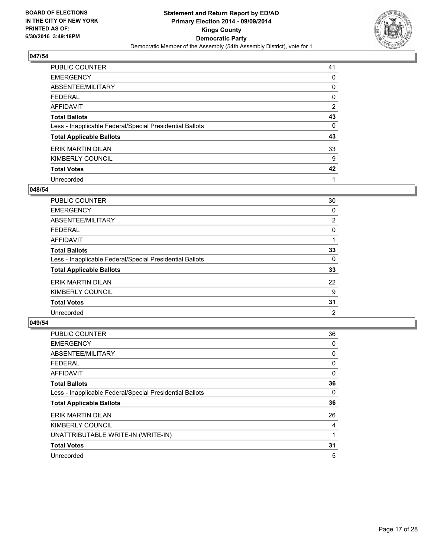

| PUBLIC COUNTER                                           | 41             |
|----------------------------------------------------------|----------------|
| <b>EMERGENCY</b>                                         | 0              |
| ABSENTEE/MILITARY                                        | 0              |
| <b>FEDERAL</b>                                           | 0              |
| AFFIDAVIT                                                | $\overline{2}$ |
| <b>Total Ballots</b>                                     | 43             |
| Less - Inapplicable Federal/Special Presidential Ballots | 0              |
| <b>Total Applicable Ballots</b>                          | 43             |
| <b>ERIK MARTIN DILAN</b>                                 | 33             |
| KIMBERLY COUNCIL                                         | 9              |
| <b>Total Votes</b>                                       | 42             |
| Unrecorded                                               | 1              |

#### **048/54**

| PUBLIC COUNTER                                           | 30 |
|----------------------------------------------------------|----|
| <b>EMERGENCY</b>                                         | 0  |
| ABSENTEE/MILITARY                                        | 2  |
| <b>FEDERAL</b>                                           | 0  |
| <b>AFFIDAVIT</b>                                         |    |
| <b>Total Ballots</b>                                     | 33 |
| Less - Inapplicable Federal/Special Presidential Ballots | 0  |
| <b>Total Applicable Ballots</b>                          | 33 |
| ERIK MARTIN DILAN                                        | 22 |
| KIMBERLY COUNCIL                                         | 9  |
| <b>Total Votes</b>                                       | 31 |
| Unrecorded                                               | 2  |
|                                                          |    |

| <b>PUBLIC COUNTER</b>                                    | 36 |
|----------------------------------------------------------|----|
| <b>EMERGENCY</b>                                         | 0  |
| ABSENTEE/MILITARY                                        | 0  |
| <b>FEDERAL</b>                                           | 0  |
| <b>AFFIDAVIT</b>                                         | 0  |
| <b>Total Ballots</b>                                     | 36 |
| Less - Inapplicable Federal/Special Presidential Ballots | 0  |
| <b>Total Applicable Ballots</b>                          | 36 |
| <b>ERIK MARTIN DILAN</b>                                 | 26 |
| KIMBERLY COUNCIL                                         | 4  |
| UNATTRIBUTABLE WRITE-IN (WRITE-IN)                       |    |
| <b>Total Votes</b>                                       | 31 |
| Unrecorded                                               | 5  |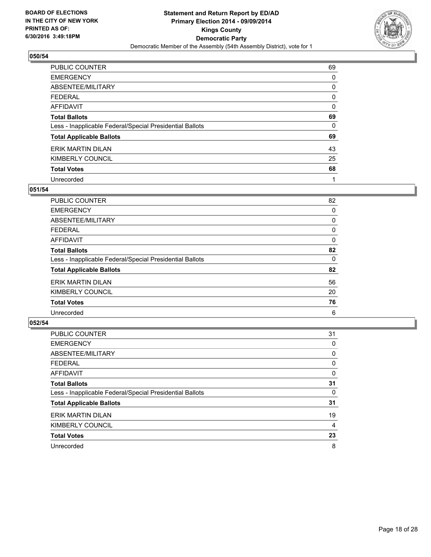

| <b>PUBLIC COUNTER</b>                                    | 69 |
|----------------------------------------------------------|----|
| <b>EMERGENCY</b>                                         | 0  |
| ABSENTEE/MILITARY                                        | 0  |
| <b>FEDERAL</b>                                           | 0  |
| <b>AFFIDAVIT</b>                                         | 0  |
| <b>Total Ballots</b>                                     | 69 |
| Less - Inapplicable Federal/Special Presidential Ballots | 0  |
| <b>Total Applicable Ballots</b>                          | 69 |
| ERIK MARTIN DILAN                                        | 43 |
| KIMBERLY COUNCIL                                         | 25 |
| <b>Total Votes</b>                                       | 68 |
| Unrecorded                                               | 1  |

#### **051/54**

| PUBLIC COUNTER                                           | 82 |
|----------------------------------------------------------|----|
| <b>EMERGENCY</b>                                         | 0  |
| ABSENTEE/MILITARY                                        | 0  |
| <b>FEDERAL</b>                                           | 0  |
| <b>AFFIDAVIT</b>                                         | 0  |
| <b>Total Ballots</b>                                     | 82 |
| Less - Inapplicable Federal/Special Presidential Ballots | 0  |
| <b>Total Applicable Ballots</b>                          | 82 |
| ERIK MARTIN DILAN                                        | 56 |
| KIMBERLY COUNCIL                                         | 20 |
| <b>Total Votes</b>                                       | 76 |
| Unrecorded                                               | 6  |
|                                                          |    |

| PUBLIC COUNTER                                           | 31 |
|----------------------------------------------------------|----|
| <b>EMERGENCY</b>                                         | 0  |
| ABSENTEE/MILITARY                                        | 0  |
| <b>FEDERAL</b>                                           | 0  |
| <b>AFFIDAVIT</b>                                         | 0  |
| <b>Total Ballots</b>                                     | 31 |
| Less - Inapplicable Federal/Special Presidential Ballots | 0  |
| <b>Total Applicable Ballots</b>                          | 31 |
| <b>ERIK MARTIN DILAN</b>                                 | 19 |
| KIMBERLY COUNCIL                                         | 4  |
| <b>Total Votes</b>                                       | 23 |
| Unrecorded                                               | 8  |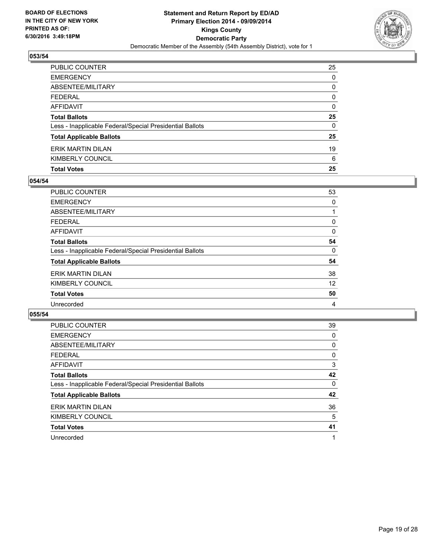

| <b>Total Votes</b>                                       | 25           |
|----------------------------------------------------------|--------------|
| KIMBERLY COUNCIL                                         | 6            |
| ERIK MARTIN DILAN                                        | 19           |
| <b>Total Applicable Ballots</b>                          | 25           |
| Less - Inapplicable Federal/Special Presidential Ballots | $\mathbf{0}$ |
| <b>Total Ballots</b>                                     | 25           |
| AFFIDAVIT                                                | 0            |
| <b>FEDERAL</b>                                           | $\Omega$     |
| <b>ABSENTEE/MILITARY</b>                                 | 0            |
| <b>EMERGENCY</b>                                         | 0            |
| PUBLIC COUNTER                                           | 25           |

## **054/54**

| PUBLIC COUNTER                                           | 53 |
|----------------------------------------------------------|----|
| <b>EMERGENCY</b>                                         | 0  |
| ABSENTEE/MILITARY                                        |    |
| <b>FEDERAL</b>                                           | 0  |
| <b>AFFIDAVIT</b>                                         | 0  |
| <b>Total Ballots</b>                                     | 54 |
| Less - Inapplicable Federal/Special Presidential Ballots | 0  |
| <b>Total Applicable Ballots</b>                          | 54 |
| ERIK MARTIN DILAN                                        | 38 |
| KIMBERLY COUNCIL                                         | 12 |
| <b>Total Votes</b>                                       | 50 |
| Unrecorded                                               | 4  |
|                                                          |    |

| <b>PUBLIC COUNTER</b>                                    | 39 |
|----------------------------------------------------------|----|
| <b>EMERGENCY</b>                                         | 0  |
| ABSENTEE/MILITARY                                        | 0  |
| <b>FEDERAL</b>                                           | 0  |
| AFFIDAVIT                                                | 3  |
| <b>Total Ballots</b>                                     | 42 |
| Less - Inapplicable Federal/Special Presidential Ballots | 0  |
| <b>Total Applicable Ballots</b>                          | 42 |
| ERIK MARTIN DILAN                                        | 36 |
| KIMBERLY COUNCIL                                         | 5  |
| <b>Total Votes</b>                                       | 41 |
| Unrecorded                                               |    |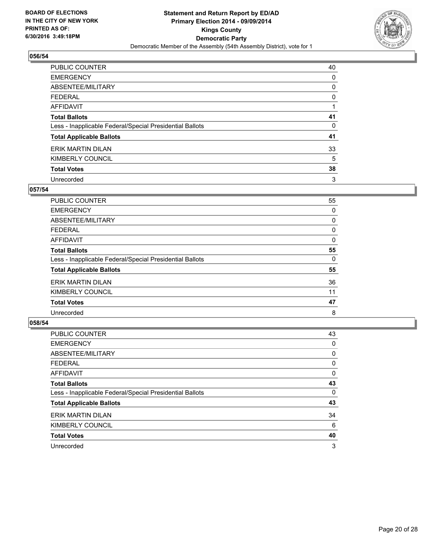

| <b>PUBLIC COUNTER</b>                                    | 40 |
|----------------------------------------------------------|----|
| <b>EMERGENCY</b>                                         | 0  |
| ABSENTEE/MILITARY                                        | 0  |
| <b>FEDERAL</b>                                           | 0  |
| <b>AFFIDAVIT</b>                                         |    |
| <b>Total Ballots</b>                                     | 41 |
| Less - Inapplicable Federal/Special Presidential Ballots | 0  |
| <b>Total Applicable Ballots</b>                          | 41 |
| ERIK MARTIN DILAN                                        | 33 |
| KIMBERLY COUNCIL                                         | 5  |
| <b>Total Votes</b>                                       | 38 |
| Unrecorded                                               | 3  |

#### **057/54**

| PUBLIC COUNTER                                           | 55 |
|----------------------------------------------------------|----|
| <b>EMERGENCY</b>                                         | 0  |
| ABSENTEE/MILITARY                                        | 0  |
| <b>FEDERAL</b>                                           | 0  |
| <b>AFFIDAVIT</b>                                         | 0  |
| <b>Total Ballots</b>                                     | 55 |
| Less - Inapplicable Federal/Special Presidential Ballots | 0  |
| <b>Total Applicable Ballots</b>                          | 55 |
| ERIK MARTIN DILAN                                        | 36 |
| KIMBERLY COUNCIL                                         | 11 |
| <b>Total Votes</b>                                       | 47 |
| Unrecorded                                               | 8  |

| PUBLIC COUNTER                                           | 43 |
|----------------------------------------------------------|----|
| <b>EMERGENCY</b>                                         | 0  |
| ABSENTEE/MILITARY                                        | 0  |
| <b>FEDERAL</b>                                           | 0  |
| AFFIDAVIT                                                | 0  |
| <b>Total Ballots</b>                                     | 43 |
| Less - Inapplicable Federal/Special Presidential Ballots | 0  |
| <b>Total Applicable Ballots</b>                          | 43 |
| <b>ERIK MARTIN DILAN</b>                                 | 34 |
| KIMBERLY COUNCIL                                         | 6  |
| <b>Total Votes</b>                                       | 40 |
| Unrecorded                                               | 3  |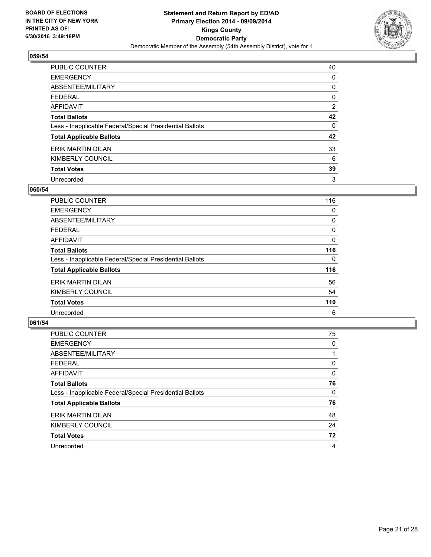

| <b>PUBLIC COUNTER</b>                                    | 40             |
|----------------------------------------------------------|----------------|
| <b>EMERGENCY</b>                                         | 0              |
| ABSENTEE/MILITARY                                        | 0              |
| <b>FEDERAL</b>                                           | 0              |
| <b>AFFIDAVIT</b>                                         | $\overline{2}$ |
| <b>Total Ballots</b>                                     | 42             |
| Less - Inapplicable Federal/Special Presidential Ballots | 0              |
| <b>Total Applicable Ballots</b>                          | 42             |
| ERIK MARTIN DILAN                                        | 33             |
| KIMBERLY COUNCIL                                         | 6              |
| <b>Total Votes</b>                                       | 39             |
| Unrecorded                                               | 3              |

#### **060/54**

| <b>PUBLIC COUNTER</b>                                    | 116 |
|----------------------------------------------------------|-----|
| <b>EMERGENCY</b>                                         | 0   |
| ABSENTEE/MILITARY                                        | 0   |
| <b>FEDERAL</b>                                           | 0   |
| AFFIDAVIT                                                | 0   |
| <b>Total Ballots</b>                                     | 116 |
| Less - Inapplicable Federal/Special Presidential Ballots | 0   |
| <b>Total Applicable Ballots</b>                          | 116 |
| ERIK MARTIN DILAN                                        | 56  |
| KIMBERLY COUNCIL                                         | 54  |
| <b>Total Votes</b>                                       | 110 |
| Unrecorded                                               | 6   |

| PUBLIC COUNTER                                           | 75 |
|----------------------------------------------------------|----|
| <b>EMERGENCY</b>                                         | 0  |
| ABSENTEE/MILITARY                                        |    |
| <b>FEDERAL</b>                                           | 0  |
| AFFIDAVIT                                                | 0  |
| <b>Total Ballots</b>                                     | 76 |
| Less - Inapplicable Federal/Special Presidential Ballots | 0  |
| <b>Total Applicable Ballots</b>                          | 76 |
| ERIK MARTIN DILAN                                        | 48 |
| KIMBERLY COUNCIL                                         | 24 |
| <b>Total Votes</b>                                       | 72 |
| Unrecorded                                               | 4  |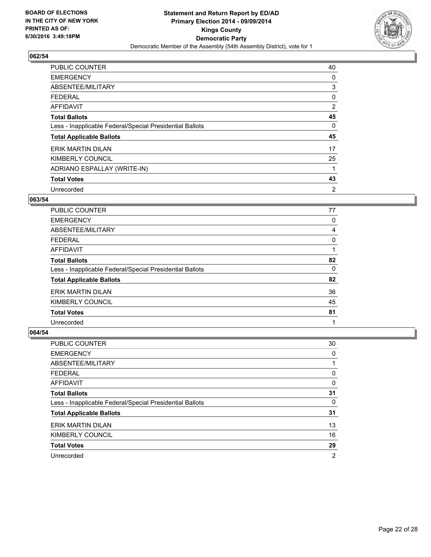

| <b>PUBLIC COUNTER</b>                                    | 40             |
|----------------------------------------------------------|----------------|
| <b>EMERGENCY</b>                                         | 0              |
| ABSENTEE/MILITARY                                        | 3              |
| <b>FEDERAL</b>                                           | 0              |
| AFFIDAVIT                                                | 2              |
| <b>Total Ballots</b>                                     | 45             |
| Less - Inapplicable Federal/Special Presidential Ballots | 0              |
| <b>Total Applicable Ballots</b>                          | 45             |
| ERIK MARTIN DILAN                                        | 17             |
| KIMBERLY COUNCIL                                         | 25             |
| ADRIANO ESPALLAY (WRITE-IN)                              |                |
| <b>Total Votes</b>                                       | 43             |
| Unrecorded                                               | $\overline{2}$ |

#### **063/54**

| <b>PUBLIC COUNTER</b>                                    | 77 |
|----------------------------------------------------------|----|
| <b>EMERGENCY</b>                                         | 0  |
| ABSENTEE/MILITARY                                        | 4  |
| <b>FEDERAL</b>                                           | 0  |
| AFFIDAVIT                                                |    |
| <b>Total Ballots</b>                                     | 82 |
| Less - Inapplicable Federal/Special Presidential Ballots | 0  |
| <b>Total Applicable Ballots</b>                          | 82 |
| ERIK MARTIN DILAN                                        | 36 |
| KIMBERLY COUNCIL                                         | 45 |
| <b>Total Votes</b>                                       | 81 |
| Unrecorded                                               | 1  |

| PUBLIC COUNTER                                           | 30 |
|----------------------------------------------------------|----|
| <b>EMERGENCY</b>                                         | 0  |
| ABSENTEE/MILITARY                                        |    |
| <b>FEDERAL</b>                                           | 0  |
| <b>AFFIDAVIT</b>                                         | 0  |
| <b>Total Ballots</b>                                     | 31 |
| Less - Inapplicable Federal/Special Presidential Ballots | 0  |
| <b>Total Applicable Ballots</b>                          | 31 |
| ERIK MARTIN DILAN                                        | 13 |
| KIMBERLY COUNCIL                                         | 16 |
| <b>Total Votes</b>                                       | 29 |
| Unrecorded                                               | 2  |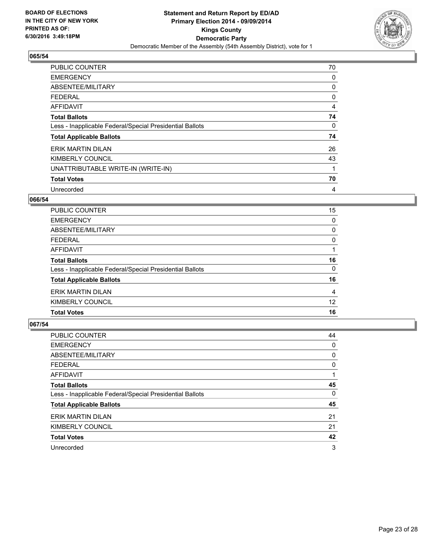

| <b>PUBLIC COUNTER</b>                                    | 70 |
|----------------------------------------------------------|----|
| <b>EMERGENCY</b>                                         | 0  |
| ABSENTEE/MILITARY                                        | 0  |
| <b>FEDERAL</b>                                           | 0  |
| <b>AFFIDAVIT</b>                                         | 4  |
| <b>Total Ballots</b>                                     | 74 |
| Less - Inapplicable Federal/Special Presidential Ballots | 0  |
| <b>Total Applicable Ballots</b>                          | 74 |
| <b>ERIK MARTIN DILAN</b>                                 | 26 |
| KIMBERLY COUNCIL                                         | 43 |
| UNATTRIBUTABLE WRITE-IN (WRITE-IN)                       |    |
| <b>Total Votes</b>                                       | 70 |
| Unrecorded                                               | 4  |

## **066/54**

| <b>PUBLIC COUNTER</b>                                    | 15 |
|----------------------------------------------------------|----|
| <b>EMERGENCY</b>                                         | 0  |
| ABSENTEE/MILITARY                                        | 0  |
| <b>FEDERAL</b>                                           | 0  |
| AFFIDAVIT                                                |    |
| <b>Total Ballots</b>                                     | 16 |
| Less - Inapplicable Federal/Special Presidential Ballots | 0  |
| <b>Total Applicable Ballots</b>                          | 16 |
| <b>ERIK MARTIN DILAN</b>                                 | 4  |
| KIMBERLY COUNCIL                                         | 12 |
| <b>Total Votes</b>                                       | 16 |

| <b>PUBLIC COUNTER</b>                                    | 44 |
|----------------------------------------------------------|----|
| <b>EMERGENCY</b>                                         | 0  |
| ABSENTEE/MILITARY                                        | 0  |
| <b>FEDERAL</b>                                           | 0  |
| AFFIDAVIT                                                |    |
| <b>Total Ballots</b>                                     | 45 |
| Less - Inapplicable Federal/Special Presidential Ballots | 0  |
| <b>Total Applicable Ballots</b>                          | 45 |
| ERIK MARTIN DILAN                                        | 21 |
| KIMBERLY COUNCIL                                         | 21 |
| <b>Total Votes</b>                                       | 42 |
| Unrecorded                                               | 3  |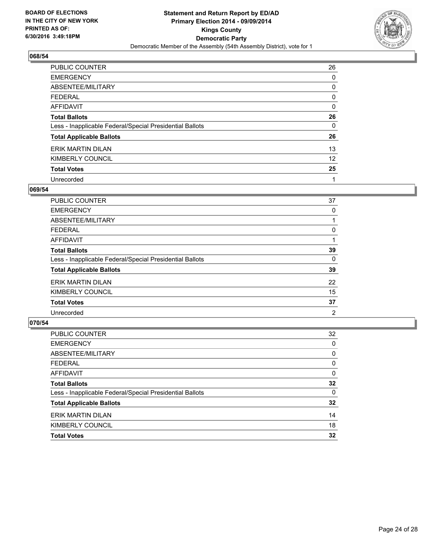

| <b>PUBLIC COUNTER</b>                                    | 26 |
|----------------------------------------------------------|----|
| <b>EMERGENCY</b>                                         | 0  |
| ABSENTEE/MILITARY                                        | 0  |
| <b>FEDERAL</b>                                           | 0  |
| <b>AFFIDAVIT</b>                                         | 0  |
| <b>Total Ballots</b>                                     | 26 |
| Less - Inapplicable Federal/Special Presidential Ballots | 0  |
| <b>Total Applicable Ballots</b>                          | 26 |
| ERIK MARTIN DILAN                                        | 13 |
| KIMBERLY COUNCIL                                         | 12 |
| <b>Total Votes</b>                                       | 25 |
| Unrecorded                                               | 1  |

#### **069/54**

| PUBLIC COUNTER                                           | 37 |
|----------------------------------------------------------|----|
| <b>EMERGENCY</b>                                         | 0  |
| ABSENTEE/MILITARY                                        |    |
| <b>FEDERAL</b>                                           | 0  |
| <b>AFFIDAVIT</b>                                         |    |
| <b>Total Ballots</b>                                     | 39 |
| Less - Inapplicable Federal/Special Presidential Ballots | 0  |
| <b>Total Applicable Ballots</b>                          | 39 |
| ERIK MARTIN DILAN                                        | 22 |
| KIMBERLY COUNCIL                                         | 15 |
| <b>Total Votes</b>                                       | 37 |
| Unrecorded                                               | 2  |
|                                                          |    |

| PUBLIC COUNTER                                           | 32       |
|----------------------------------------------------------|----------|
| <b>EMERGENCY</b>                                         | 0        |
| ABSENTEE/MILITARY                                        | 0        |
| <b>FEDERAL</b>                                           | 0        |
| <b>AFFIDAVIT</b>                                         | $\Omega$ |
| <b>Total Ballots</b>                                     | 32       |
| Less - Inapplicable Federal/Special Presidential Ballots | $\Omega$ |
| <b>Total Applicable Ballots</b>                          | 32       |
| <b>ERIK MARTIN DILAN</b>                                 | 14       |
| KIMBERLY COUNCIL                                         | 18       |
| <b>Total Votes</b>                                       | 32       |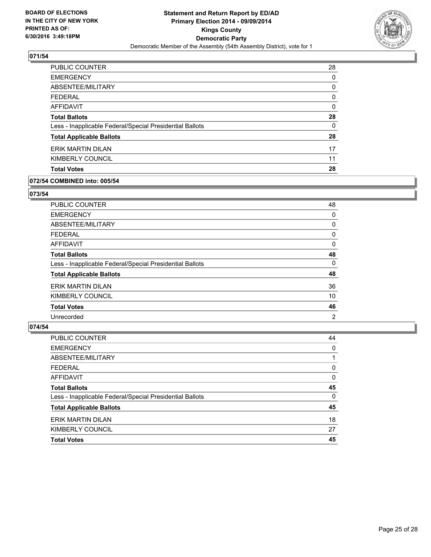

| <b>PUBLIC COUNTER</b>                                    | 28 |
|----------------------------------------------------------|----|
| <b>EMERGENCY</b>                                         | 0  |
| ABSENTEE/MILITARY                                        | 0  |
| FEDERAL                                                  | 0  |
| AFFIDAVIT                                                | 0  |
| <b>Total Ballots</b>                                     | 28 |
| Less - Inapplicable Federal/Special Presidential Ballots | 0  |
| <b>Total Applicable Ballots</b>                          | 28 |
| <b>ERIK MARTIN DILAN</b>                                 | 17 |
| KIMBERLY COUNCIL                                         | 11 |
| <b>Total Votes</b>                                       | 28 |

#### **072/54 COMBINED into: 005/54**

#### **073/54**

| PUBLIC COUNTER                                           | 48             |
|----------------------------------------------------------|----------------|
| <b>EMERGENCY</b>                                         | 0              |
| ABSENTEE/MILITARY                                        | 0              |
| <b>FEDERAL</b>                                           | 0              |
| AFFIDAVIT                                                | 0              |
| <b>Total Ballots</b>                                     | 48             |
| Less - Inapplicable Federal/Special Presidential Ballots | 0              |
| <b>Total Applicable Ballots</b>                          | 48             |
| ERIK MARTIN DILAN                                        | 36             |
| KIMBERLY COUNCIL                                         | 10             |
| <b>Total Votes</b>                                       | 46             |
| Unrecorded                                               | $\overline{2}$ |

| <b>Total Votes</b>                                       | 45       |
|----------------------------------------------------------|----------|
| KIMBERLY COUNCIL                                         | 27       |
| ERIK MARTIN DILAN                                        | 18       |
| <b>Total Applicable Ballots</b>                          | 45       |
| Less - Inapplicable Federal/Special Presidential Ballots | $\Omega$ |
| <b>Total Ballots</b>                                     | 45       |
| <b>AFFIDAVIT</b>                                         | $\Omega$ |
| <b>FEDERAL</b>                                           | $\Omega$ |
| ABSENTEE/MILITARY                                        |          |
| <b>EMERGENCY</b>                                         | 0        |
| PUBLIC COUNTER                                           | 44       |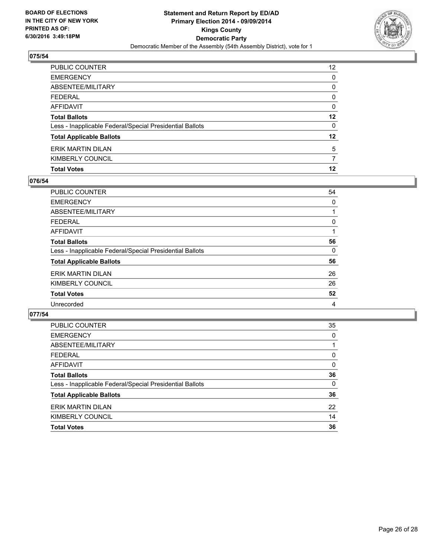

| <b>Total Votes</b>                                       | 12              |
|----------------------------------------------------------|-----------------|
| KIMBERLY COUNCIL                                         | 7               |
| ERIK MARTIN DILAN                                        | 5               |
| <b>Total Applicable Ballots</b>                          | 12              |
| Less - Inapplicable Federal/Special Presidential Ballots | 0               |
| <b>Total Ballots</b>                                     | 12              |
| AFFIDAVIT                                                | 0               |
| <b>FEDERAL</b>                                           | $\Omega$        |
| <b>ABSENTEE/MILITARY</b>                                 | 0               |
| <b>EMERGENCY</b>                                         | 0               |
| PUBLIC COUNTER                                           | 12 <sup>2</sup> |

## **076/54**

| PUBLIC COUNTER                                           | 54 |
|----------------------------------------------------------|----|
| <b>EMERGENCY</b>                                         | 0  |
| ABSENTEE/MILITARY                                        |    |
| <b>FEDERAL</b>                                           | 0  |
| AFFIDAVIT                                                |    |
| <b>Total Ballots</b>                                     | 56 |
| Less - Inapplicable Federal/Special Presidential Ballots | 0  |
| <b>Total Applicable Ballots</b>                          | 56 |
| ERIK MARTIN DILAN                                        | 26 |
| KIMBERLY COUNCIL                                         | 26 |
| <b>Total Votes</b>                                       | 52 |
| Unrecorded                                               | 4  |
|                                                          |    |

| PUBLIC COUNTER                                           | 35       |
|----------------------------------------------------------|----------|
| <b>EMERGENCY</b>                                         | 0        |
| ABSENTEE/MILITARY                                        |          |
| <b>FEDERAL</b>                                           | 0        |
| <b>AFFIDAVIT</b>                                         | $\Omega$ |
| <b>Total Ballots</b>                                     | 36       |
| Less - Inapplicable Federal/Special Presidential Ballots | $\Omega$ |
| <b>Total Applicable Ballots</b>                          | 36       |
| ERIK MARTIN DILAN                                        | 22       |
| KIMBERLY COUNCIL                                         | 14       |
| <b>Total Votes</b>                                       | 36       |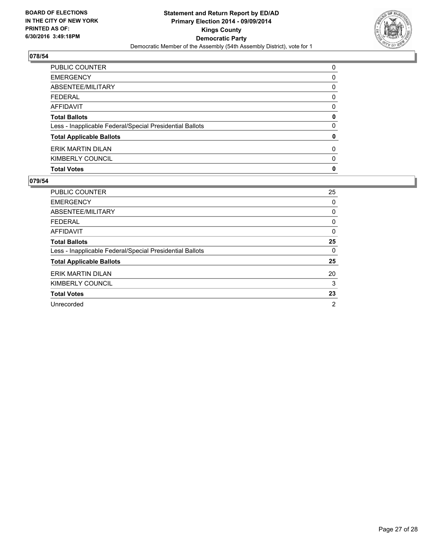

| <b>Total Votes</b>                                       | 0 |
|----------------------------------------------------------|---|
| KIMBERLY COUNCIL                                         | 0 |
| <b>ERIK MARTIN DILAN</b>                                 | 0 |
| <b>Total Applicable Ballots</b>                          | 0 |
| Less - Inapplicable Federal/Special Presidential Ballots | 0 |
| <b>Total Ballots</b>                                     | 0 |
| <b>AFFIDAVIT</b>                                         | 0 |
| <b>FEDERAL</b>                                           | 0 |
| ABSENTEE/MILITARY                                        | 0 |
| <b>EMERGENCY</b>                                         | 0 |
| PUBLIC COUNTER                                           | 0 |

| <b>PUBLIC COUNTER</b>                                    | 25 |
|----------------------------------------------------------|----|
| <b>EMERGENCY</b>                                         | 0  |
| ABSENTEE/MILITARY                                        | 0  |
| <b>FEDERAL</b>                                           | 0  |
| AFFIDAVIT                                                | 0  |
| <b>Total Ballots</b>                                     | 25 |
| Less - Inapplicable Federal/Special Presidential Ballots | 0  |
| <b>Total Applicable Ballots</b>                          | 25 |
| ERIK MARTIN DILAN                                        | 20 |
| KIMBERLY COUNCIL                                         | 3  |
| <b>Total Votes</b>                                       | 23 |
| Unrecorded                                               | 2  |